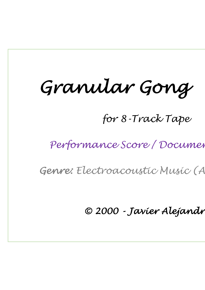# *Granular Gong*

*for 8-Track Tape*

 $Performance Score / Document$ 

*Genre: Electroacoustic Music (Acousmatic)*

*© 2000 - Javier Alejandro Garavaglia*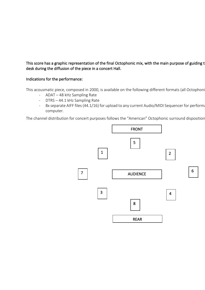# This score has a graphic representation of the final Octophonic mix, with the main purpose of guiding t desk during the diffusion of the piece in a concert Hall.

## Indications for the performance:

This acousmatic piece, composed in 2000, is available on the following different formats (all Octophoni

- ADAT 48 kHz Sampling Rate
- DTRS 44.1 kHz Sampling Rate
- 8x separate AIFF files (44.1/16) for upload to any current Audio/MIDI Sequencer for performa computer.

The channel distribution for concert purposes follows the "American" Octophonic surround disposition

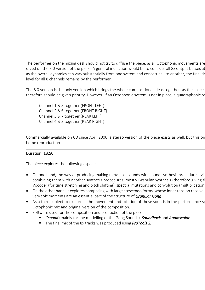The performer on the mixing desk should not try to diffuse the piece, as all Octophonic movements are saved on the 8.0 version of the piece. A general indication would be to consider all 8x output busses at as the overall dynamics can vary substantially from one system and concert hall to another, the final de level for all 8 channels remains by the performer.

The 8.0 version is the only version which brings the whole compositional ideas together, as the space therefore should be given priority. However, if an Octophonic system is not in place, a quadraphonic re

Channel 1 & 5 together (FRONT LEFT) Channel 2 & 6 together (FRONT RIGHT) Channel 3 & 7 together (REAR LEFT) Channel 4 & 8 together (REAR RIGHT)

Commercially available on CD since April 2006, a stereo version of the piece exists as well, but this on home reproduction.

# Duration: 13:50

The piece explores the following aspects:

- On one hand, the way of producing making metal-like sounds with sound synthesis procedures (via combining them with another synthesis procedures, mostly Granular Synthesis (therefore giving the piece) but also Phase to the piece of the piece of the piece of phases  $P$ Vocoder (for time stretching and pitch shifting), spectral mutations and convolution (multiplication
- On the other hand, it explores composing with large crescendo forms, whose inner tension resolve very soft moments are an essential part of the structure of *Granular Gong*.
- As a third subject to explore is the movement and rotation of these sounds in the performance space Octophonic mix and original version of the composition.
- Software used for the composition and production of the piece:
	- § *Csound* (mainly for the modelling of the Gong Sounds), *Soundhack* and *Audiosculpt*.
	- The final mix of the 8x tracks was produced using **ProTools 2.**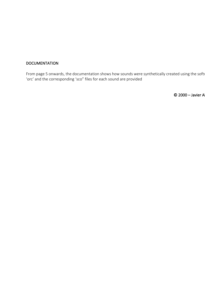## **DOCUMENTATION**

From page 5 onwards, the documentation shows how sounds were synthetically created using the soft 'orc' and the corresponding 'sco" files for each sound are provided

 $© 2000 – Javier A$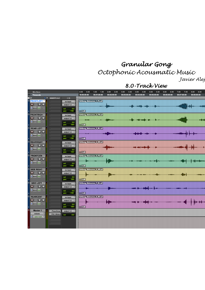# *Granular Gong Octophonic Acousmatic Music*

*Javier Alejandro Garavaglia (2000)*

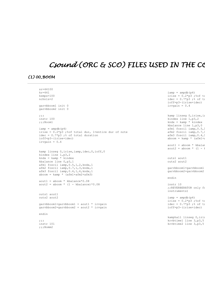# Csound (ORC & SCO) FILES USED IN THE CO

# *(1) 00\_BOOM*

| $sr=44100$                                                                      |                                  |
|---------------------------------------------------------------------------------|----------------------------------|
| $kr=441$                                                                        | $\text{iamp} = \text{ampdb}(p4)$ |
| $k$ smps= $100$                                                                 | irise = $0.2$ *p3 ;%of to        |
| $nchnls = 2$                                                                    | idec = $0.7$ *p3 ;% of to        |
|                                                                                 | ioff=p3-(irise+idec)             |
| qarvbboom1 init 0                                                               | irvgain = $0.4$                  |
| qarvbboom2 init 0                                                               |                                  |
|                                                                                 |                                  |
| 777                                                                             | kamp linseg 0, irise, ia         |
| instr 100                                                                       | kindex line 1, p3, 2             |
| $;$ ; Boom $1$                                                                  | $kndx = kamp * kindex$           |
|                                                                                 | kbalance line 1, p3, 0           |
| $\text{iamp} = \text{ampdb} (p4)$                                               | afml foscil iamp, 0.5,1          |
| irise = $0.2$ *p3 ;% of total dur, 1=entire dur of note                         | afm2 foscil iamp, 0.7,1          |
| idec = $0.7$ *p3 ;% of total duration                                           | afm3 foscil iamp, 0.4,1          |
| ioff=p3-(irise+idec)                                                            | aboom = $kamp * (afm1+a)$        |
| irvgain = $0.4$                                                                 |                                  |
|                                                                                 | $a$ out $1 = ab$ oom * kbalar    |
|                                                                                 | $aout2 = aboom * (1 - 1)$        |
| kamp linseg 0, irise, iamp, idec, 0, ioff, 0                                    |                                  |
| kindex line 1, p3, 2                                                            |                                  |
| $kndx = kamp * kindex$                                                          | outs1 aout1                      |
| kbalance line 0, p3, 1                                                          | outs2 aout2                      |
| afml foscil iamp, 0.5, 1, 2, kndx, 1                                            |                                  |
| $affm2$ foscil iamp, $0.7$ , $1$ , $3$ , kndx, 1                                | qarvbboom1=qarvbboom1            |
|                                                                                 | qarvbboom2=qarvbboom2            |
| afm3 foscil iamp, 0.4, 1, 4, kndx, 1                                            |                                  |
| $aboom = kamp * (afm1 + afm2 + afm3)$                                           | endin                            |
|                                                                                 |                                  |
| $a$ out $1 = ab$ oom * kbalance*0.08<br>$aout2 = aboom * (1 - kbalance) * 0.08$ |                                  |
|                                                                                 | instr 10                         |
|                                                                                 | ;; REVERBERATOR only fo          |
|                                                                                 | instruments)                     |
| outs1 aout1                                                                     |                                  |
| outs2 aout2                                                                     | $\text{iamp} = \text{ampdb}(p4)$ |
|                                                                                 | irise = $0.2$ *p3 ;%of to        |
| qarvbboom1=qarvbboom1 + aout1 * irvgain                                         | idec = $0.7$ *p3 ;% of to        |
| garvbboom2=garvbboom2 + aout2 * irvgain                                         | ioff=p3-(irise+idec)             |
| endin                                                                           |                                  |
|                                                                                 |                                  |
|                                                                                 | kamphall linseg 0, iris          |
| $\cdots$                                                                        | krybtime1 line 3, p3, 5          |
| instr 101                                                                       | krvbtime2 line 3, p3, 5          |
| ;;                                                                              |                                  |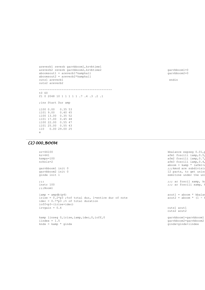```
areverb1 reverb garvbboom1, krvbtime1
areverb2 reverb garvbboom2, krvbtime2
aboomsout1 = areverb1*kamphall
aboomsout2 = areverb2*kamphall
outs1 areverb1
outs2 areverb2
------------------------------------------
t0 60
f1 0 2048 10 1 1 1 1 1 .7 .4 .3 .2 .1 
;ins Start Dur amp
i100 0.00 0.35 53
i101 9.00 0.40 45
i100 13.00 0.35 52
i101 17.00 0.45 48
i100 22.00 0.55 47
i101 25.00 0.55 43
i10 0.00 29.00 25
e
```
garvbboom1=0 garvbboom2=0

endin

# *(2) 000\_BOOM*

|          | $sr = 44100$                                            | kbalance expseq $0.01, p$           |
|----------|---------------------------------------------------------|-------------------------------------|
|          | $kr=441$                                                | afml foscili iamp, 0.5,             |
|          | $k$ smps= $100$                                         | afm2 foscili iamp, 0.7,             |
|          | nchnls=2                                                | afm3 foscili iamp, 0.4,             |
|          |                                                         | aboom = $\text{kamp} \star$ (afml+a |
|          | garvbboom1 init 0                                       | ;;;kmod are subdivisid              |
|          | qarvbboom2 init 0                                       | 12 parts, to get uniso              |
|          | qindx init 1                                            | semitone under the uni              |
| $\cdots$ |                                                         | ;;; ar foscil xamp, ko              |
|          | instr 100                                               | ;;; ar foscili xamp,                |
|          | $;;$ Boom $1$                                           |                                     |
|          | $iamp = ampdb(p4)$                                      | $a$ out $1 = ab$ oom * kbalar       |
|          | irise = $0.2$ *p3 ;% of total dur, 1=entire dur of note | aout2 = aboom $\star$ (1 -          |
|          | idec = $0.7$ *p3 ;% of total duration                   |                                     |
|          | ioff=p3-(irise+idec)                                    |                                     |
|          | irvgain = $0.4$                                         | outs1 aout1                         |
|          |                                                         | outs2 aout2                         |
|          |                                                         |                                     |
|          | kamp linseg 0, irise, iamp, idec, 0, ioff, 0            | garvbboom1=garvbboom1               |
|          | iindex = $1.5$                                          | qarvbboom2=qarvbboom2               |
|          | $kndx = kamp * qindx$                                   | gindx=gindx+iindex                  |
|          |                                                         |                                     |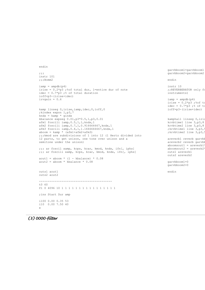```
endin
;;;
instr 101
;;;Bomm2
iamp = ampdb(p4)irise = 0.2*p3 ;%of total dur, 1=entire dur of note
idec = 0.7*p3 ;% of total duration
ioff=p3-(irise+idec)
irvgain = 0.6
kamp linseg 0, irise, iamp, idec, 0, ioff, 0
;kindex expon 1,p3,7
kndx = kamp * qindxkbalance expseg 0.01,p3*0.5,1,p3,0.01
afm1 foscili iamp,0.5,1,1,kndx,1
afm2 foscili iamp,0.7,1,0.916666667,kndx,1 
afm3 foscili iamp,0.4,1,1.1666666667,kndx,1 
aboom = kamp * (afm1 + afm2 + afm3);;;kmod are subdivisions of 1 into 12 (1 Hertz divided into 
12 parts, to get unison, one tone over unison and a 
semitone under the unison) 
;;; ar foscil xamp, kcps, kcar, kmod, kndx, ifn[, iphs]
;;; ar foscili xamp, kcps, kcar, kmod, kndx, ifn[, iphs]
aout1 = aboom * (1 - kbalance) * 0.08
aout2 = aboom * kbalance * 0.08outs1 aout1
outs2 aout2
                                                                         garybboom1=garybboom1
                                                                         garvbboom2=garvbboom2
                                                                         endin
                                                                         instr 10 
                                                                         ;;REVERBERATOR only fo
                                                                         instruments)
                                                                         iamp = ampdb(p4)irise = 0.2*p3 ;%of to
                                                                          idec = 0.7*p3 ;% of to
                                                                         ioff=p3-(irise+idec)
                                                                         kamphall linseg 0, iris
                                                                         krvbtime1 line 3,p3,8
                                                                         krvbtime2 line 3,p3,8
                                                                         ; krvbtime1 line 3, p3,
                                                                         ; krvbtime2 line 3, p3,
                                                                         areverb1 reverb garvbl
                                                                         areverb2 reverb garvbb
                                                                          aboomsout1 = \text{areverb1}aboomsout2 = areverb2'outs1 areverb1
                                                                         outs2 areverb2
                                                                         garvbboom1=0
                                                                         garvbboom2=0
                                                                         endin
------------------------------------------
t0 60
f1 0 4096 10 1 1 1 1 1 1 1 1 1 1 1 1 1 1 1 1 
;ins Start Dur amp
i100 0.00 0.35 53
i10 0.00 7.50 40
e
```

```
(3) 0000-filter
```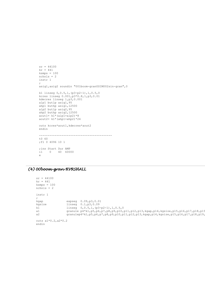```
sr = 44100kr = 441ksmps = 100
nchnls = 2instr 1
;
asig1,asig2 soundin "001boom-granUSIM002sin-gran",0 
k1 linseg 0,0.5,1,(p3-p2-1),1,0.5,0
kcres linseg 0.001,p3*0.8,1,p3,0.01
kdecres linseg 1,p3,0.001
alp1 butlp asig1,95
ahp1 buthp asig1,12500
alp2 butlp asig2,95
ahp2 buthp asig2,12500
aout1= k1* (alp1+alp2) *8
aout2=k1*(ahp1+ahp2)*24outs kcres*aout1,kdecres*aout2
endin
------------------------------------------
t0 60
;f1 0 4096 10 1 
;ins Start Dur AMP
i1 0 40 60000
e
```
# *(4) 00boom-gran-RVRSHALL*

```
sr = 44100kr = 441ksmps = 100nchnls = 2
instr 1
;<br>kgap
 kgap expseg 0.09,p3,0.01
 kgsize linseg 0.1,p3,0.09
k1 linseg 0,0.5,1,(p3-p2-1),1,0.5,0<br>a1 qranule p4*k1,p5,p6,p7,p8,p9,p10,
a1 granule p4*k1, p5, p6, p7, p8, p9, p10, p11, p12, p13, kgap, p14, kgsize, p15, p16, p17, p18, p19, p2, p3, p4, p10, p11, p12, p13, kgap, p14, kgsize, p15, p16, p17, p18, p19, p3, p4, p4, p5, p6, p7, p8, p9, p10, p11, p12, p13, kgap, p14, kgsize, p15, p16, p17, p18, p19, p3, p4, p4, p5, p6, pgranulep4*k1,p5,p6,p7,p8,p9,p10,p11,p12,p13,kgap,p14,kgsize,p15,p16,p17,p18,p19,
outs a1*0.2,a2*0.2
endin
```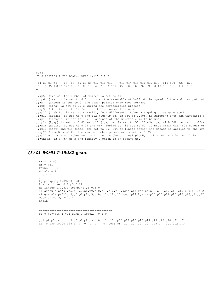----------------------------------------- t240 f1 0 2097153 1 "00\_BOMMsndRVRS.hall" 0 1 0 ;p1 p2 p3 p4 p5 p6 p7 p8 p9 p10 p11 p12 p13 p14 p15 p16 p17 p18 p19 p20 p21 p22 i1 0 95 15000 128 1 0 0 1 4 0 0.005 45 10 10 30 30 0.49 1 1.1 1.2 1.3 e ;;;p5 (ivoice) the number of voices is set to 64 ;;;p6 (iratio) is set to 0.5, it scan the wavetable at half of the speed of the audio output rate ;;;p7 (imode) is set to 0, the grain pointer only move forward ;;;p8 (ithd) is set to 0, skipping the thresholding process ;;;p9 (ifn) is set to 1, function table number 1 is used ;;;p10 (ipshift) is set to 4(max!!), four different pitches are going to be generated ;;;p11 (igskip) is set to 0 and p12 (igskip os) is set to 0.005, no skipping into the wavetable a ;;;p13 (ilength) is set to 10, 10 seconds of the wavetable is to be used ;;;p14 (kgap) is set to 0.01 and p15 (igap os) is set to 50, 10 mSec gap with 50% random ;;;offse ;;;p16 (kgsize) is set to 0.02 and p17 (igsize os) is set to 50, 20 mSec grain with 50% random of  $;j;\rho$ 18 (iatt) and p19 (idec) are set to 30, 30% of linear attack and decade is applied to the grain ;;;p20 (iseed) seed for the random number generator is set to 0.39 ;;;p21 - p 24 are pitches set to 1 which is the original pitch, 1.42 which is a 5th up, 0.29 ;;;which is a 7th down and finally 2 which is an octave up.

#### *(5) 01\_BOMM\_P-19stX2-gran*

 $sr = 44100$  $kr = 441$ ksmps = 100 nchnls = 2 instr 1 ; kgap expseg 0.09,p3,0.01 kgsize linseg 0.1,p3,0.09 k1 linseg 0,0.5,1,(p3-p2-1),1,0.5,0 a1 granule p4\*k1,p5,p6,p7,p8,p9,p10,p11,p12,p13,kgap,p14,kgsize,p15,p16,p17,p18,p19,p20,p21,p22 a2 granule p4\*k1,p5,p6,p7,p8,p9,p10,p11,p12,p13,kgap,p14,kgsize,p15,p16,p17,p18,p19,p20,p21,p22 outs a1\*0.15,a2\*0.15 endin

----------------------------------------- f1 0 4194305 1 "01\_BOMM\_P-19stX2" 0 1 0

;p1 p2 p3 p4 p5 p6 p7 p8 p9 p10 p11 p12 p13 p14 p15 p16 p17 p18 p19 p20 p21 p22 i1 0 130 15000 128 1 0 0 1 4 0 .005 58 10 10 30 30 .49 1 2.1 0.2 4.3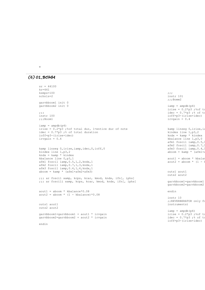e

#### *(6) 01\_BOMM*

```
sr = 44100kr=441
ksmps=100
nchnls=2 
garvbboom1 init 0 
garvbboom2 init 0
;;;
instr 100
;;;Boom1
iamp = ampdb(p4)irise = 0.2*p3 ;%of total dur, 1=entire dur of note
idec = 0.7*p3 ;% of total duration
ioff=p3-(irise+idec)
irvgain = 0.4
kamp linseg 0, irise, iamp, idec, 0, ioff, 0
kindex line 1,p3,2
kndx = kamp * kindex
kbalance line 0,p3,1
afm1 foscil iamp,0.5,1,2,kndx,1
afm2 foscil iamp,0.7,1,3,kndx,1 
afm3 foscil iamp,0.4,1,4,kndx,1 
aboom = kamp * (afm1+afm2+afm3);;; ar foscil xamp, kcps, kcar, kmod, kndx, ifn[, iphs]
;;; ar foscili xamp, kcps, kcar, kmod, kndx, ifn[, iphs]
aout1 = aboom * kbalance*0.08
aout2 = aboom * (1 - kbalance) *0.08outs1 aout1
outs2 aout2
garvbboom1=garvbboom1 + aout1 * irvgain
garvbboom2=garvbboom2 + aout2 * irvgain
endin
                                                                             ;;;
                                                                             instr 101
                                                                             ;;;Bomm2
                                                                             iamp = ampdb(p4)irise = 0.2*p3 ;%of to
                                                                             idec = 0.7*p3 ;% of to
                                                                             ioff=p3-(irise+idec)
                                                                             irvgain = 0.4kamp linseg 0, irise, ia
                                                                             kindex line 1,p3,2
                                                                             kndx = kamp * kindexkbalance line 1,p3,0
                                                                             afm1 foscil iamp, 0.5,
                                                                             afm2 foscil iamp, 0.7,1
                                                                             afm3 foscil iamp, 0.4,
                                                                             aboom = kamp \star (afm1+a
                                                                             aout1 = aboom * kbalan
                                                                             aout2 = aboom * (1 - 1)outs1 aout1
                                                                             outs2 aout2
                                                                             garvbboom1=garvbboom1
                                                                             qarvbboom2=qarvbboom2
                                                                             endin
                                                                            instr 10 
                                                                             ;;REVERBERATOR only for
                                                                             instruments)
                                                                             iamp = ampdb(p4)irise = 0.2*p3 ;%of to
                                                                             idec = 0.7 \times p3 ;% of to
                                                                             ioff=p3-(irise+idec)
```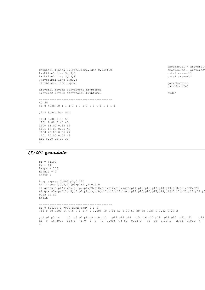```
kamphall linseg 0, irise, iamp, idec, 0, ioff, 0
krvbtime1 line 3,p3,8
krvbtime2 line 3,p3,8
;krvbtime1 line 3,p3,5
;krvbtime2 line 3,p3,5
areverb1 reverb garvbboom1, krvbtime1
areverb2 reverb garvbboom2, krvbtime2
------------------------------------------
t0 60
f1 0 4096 10 1 1 1 1 1 1 1 1 1 1 1 1 1 1 1 1 
;ins Start Dur amp
i100 0.00 0.35 53
i101 9.00 0.40 45
i100 13.00 0.35 52
i101 17.00 0.45 48
i100 22.00 0.55 47
i101 25.00 0.55 43
i10 0.00 29.00 30
e
```

```
aboomsout1 = areverb1aboomsout2 = areverb2'outs1 areverb1
outs2 areverb2
```
garvbboom1=0 garvbboom2=0

endin

## *(7) 001-granulate*

```
sr = 44100kr = 441
ksmps = 100nchnls = 2
instr 1
;
kgap expseg 0.002,p3,0.125
k1 linseg 0, 0.5, 1, (p3-p2-1), 1, 0.5, 0
a1 granule p4*k1,p5,p6,p7,p8,p9,p10,p11,p12,p13,kgap,p14,p15,p16,p17,p18,p19,p20,p21,p22,p23
a2 granule p4*k1,p5,p6,p7,p8,p9,p10,p11,p12,p13,kgap,p14,p15,p16,p17,p18,p19+0.17,p20,p21,p22,p23
outs a1,a2
endin
------------------------------------------
f1 0 524289 1 "000_BOMM.snd" 0 1 0
;i1 0 10 2000 64 0.5 0 0 1 4 0 0.005 10 0.01 50 0.02 50 30 30 0.39 1 1.42 0.29 2
;p1 p2 p3 p4 p5 p6 p7 p8 p9 p10 p11 p12 p13 p14 p15 p16 p17 p18 p19 p20 p21 p22 p23 
i1 0 16 3000 128 1 -1 0 1 4 0 0.005 7.5 50 0.04 0 40 40 0.39 1 2.42 0.019 4
e
```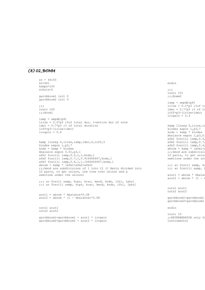## *(8) 02\_BOMM*

```
sr = 44100kr=441
ksmps=100
nchnls=2 
garvbboom1 init 0 
garvbboom2 init 0
;;;
instr 100
;;;Boom1
iamp = ampdb(p4)irise = 0.2*p3 ;%of total dur, 1=entire dur of note
idec = 0.7*p3 ;% of total duration
ioff=p3-(irise+idec)
irvgain = 0.4
kamp linseg 0, irise, iamp, idec, 0, ioff, 0
kindex expon 1,p3,7
kndx = kamp * kindex
kbalance expon 0.01,p3,1
afm1 foscili iamp,0.5,1,1,kndx,1
afm2 foscili iamp,0.7,1,0.916666667,kndx,1 
afm3 foscili iamp,0.4,1,1.1666666667,kndx,1 
aboom = kamp * (afm1 + afm2 + afm3);;;kmod are subdivisions of 1 into 12 (1 Hertz divided into 
12 parts, to get unison, one tone over unison and a 
semitone under the unison) 
;;; ar foscil xamp, kcps, kcar, kmod, kndx, ifn[, iphs]
j;; ar foscili xamp, kcps, kcar, kmod, kndx, ifn[, iphs]
aout1 = aboom * kbalance*0.08
aout2 = aboom * (1 - kbalance)*0.08
outs1 aout1
outs2 aout2
garvbboom1=garvbboom1 + aout1 * irvgain
garvbboom2=garvbboom2 + aout2 * irvgain
                                                                             endin
                                                                             ;;;
                                                                             instr 101
                                                                             ;;;Bomm2
                                                                             iamp = ampdb(p4)irise = 0.2*p3 ;%of to
                                                                             idec = 0.7 \times p3 ;% of to
                                                                             ioff=p3-(irise+idec)
                                                                             irvgain = 0.4
                                                                             kamp linseg 0, irise, ia
                                                                             kindex expon 1,p3,7
                                                                             kndx = kamp * kindexkbalance expon 1, p3, 0
                                                                             afm1 foscili iamp, 0.5,
                                                                             afm2 foscili iamp, 0.7,
                                                                             afm3 foscili iamp, 0.4,
                                                                             aboom = kamp * (afml+i);;;kmod are subdivisions '12 parts, to get uniso
                                                                             semitone under the un:
                                                                             ;;; ar foscil xamp, ko
                                                                             ;;; ar foscili xamp, kaout1 = aboom * kbalan
                                                                             aout2 = aboom * (1 - 1outs1 aout1
                                                                             outs2 aout2
                                                                             garvbboom1=garvbboom1
                                                                             garvbboom2=garvbboom2
                                                                             endin
                                                                             instr 10 
                                                                             ;;REVERBERATOR only fo
                                                                             instruments)
```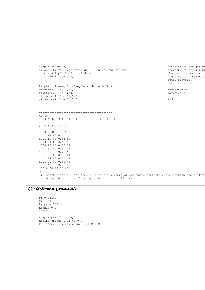```
irise = 0.2*p3 ;%of total dur, 1=entire dur of note
idec = 0.7 * p3; % of total duration
ioff=p3-(irise+idec)
kamphall linseg 0, irise, iamp, idec, 0, ioff, 0
krvbtime1 line 3,p3,8
krvbtime2 line 3,p3,8
;krvbtime1 line 3,p3,5
;krvbtime2 line 3,p3,5
                                                                            areverb2 reverb garvbb
                                                                            aboomsout1 = areverb1"aboomsout2 = areverb2outs1 areverb1
                                                                            outs2 areverb2
                                                                            garvbboom1=0
                                                                            garvbboom2=0
                                                                            endin
------------------------------------------
t0 60
f1 0 4096 10 1 1 1 1 1 1 1 1 1 1 1 1 1 1 1 1 
;ins Start Dur amp
i100 0.00 0.35 53
i101 12.00 0.40 45
i101 19.00 0.35 52
i100 24.00 0.45 48
i100 28.00 0.55 52
i101 31.00 0.60 43
i101 33.70 0.75 42
i101 36.00 0.95 41
i101 38.00 0.75 43
i101 40.00 0.60 43
i101 41.70 0.55 43
i10 0.00 49.00 40
e
;;;(start times are set according to the numbers of semitones that there are between the differe
;;; being the octave, 19 being octave + fifth (12+7)etc))
```
areverb1 reverb garvbb

#### *(9) 002boom-granulate*

 $iamp = ampdb(p4)$ 

```
sr = 44100kr = 441
ksmps = 100nchnls = 2instr 1
;
kgap expseg 0.05,p3,3
kgsize expseg 0.01,p3,0.9
k1 linseg 0,0.5,1,(p3-p2-1),1,0.5,0
```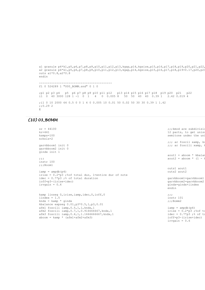```
a1 granule p4*k1,p5,p6,p7,p8,p9,p10,p11,p12,p13,kgap,p14,kgsize,p15,p16,p17,p18,p19,p20,p21,p22,
a2 granule p4*k1,p5,p6,p7,p8,p9,p10,p11,p12,p13,kgap,p14,kgsize,p15,p16,p17,p18,p19+0.17,p20,p21
outs a1*0.8,a2*0.8
endin
------------------------------------------
f1 0 524289 1 "000_BOMM.snd" 0 1 0
;p1 p2 p3 p4 p5 p6 p7 p8 p9 p10 p11 p12 p13 p14 p15 p16 p17 p18 p19 p20 p21 p22 
i1 0 40 3000 128 1 -1 0 1 4 0 0.005 8 50 50 40 40 0.39 1 2.42 0.019 4
;i1 0 10 2000 64 0.5 0 0 1 4 0 0.005 10 0.01 50 0.02 50 30 30 0.39 1 1.42
;;0.29 2
\mathbf E
```
#### *(10) 03\_BOMM*

| $sr = 44100$<br>$kr=441$<br>$k$ smps= $100$<br>nchnls=2                                                                                                                               | ;;;kmod are subdivisid<br>12 parts, to get unise<br>semitone under the uni                                                            |
|---------------------------------------------------------------------------------------------------------------------------------------------------------------------------------------|---------------------------------------------------------------------------------------------------------------------------------------|
| garvbboom1 init 0<br>garybboom2 init 0<br>qindx init 1                                                                                                                                | ;;; ar foscil xamp, ko<br>;;; ar foscili xamp,                                                                                        |
| $\cdots$<br>instr 100<br>$:$ ; Boom $1$                                                                                                                                               | $a$ out $1 = ab$ oom * kbalar<br>$aout2 = aboom * (1 - 1)$                                                                            |
| $\text{iamp} = \text{ampdb} (p4)$<br>irise = $0.2$ *p3 ;% of total dur, 1=entire dur of note                                                                                          | outs1 aout1<br>outs2 aout2                                                                                                            |
| idec = $0.7$ *p3 ;% of total duration<br>ioff=p3-(irise+idec)<br>irvgain = $0.4$                                                                                                      | qarvbboom1=qarvbboom1<br>qarvbboom2=qarvbboom2<br>gindx=gindx+iindex<br>endin                                                         |
| kamp linseg 0, irise, iamp, idec, 0, ioff, 0<br>iindex = $1.5$<br>$kndx = kamp * qindx$<br>kbalance expseq 0.01, p3*0.5, 1, p3, 0.01                                                  | $\cdots$<br>instr 101<br>$:$ ; Bomm2                                                                                                  |
| afml foscili iamp, 0.5, 1, 1, kndx, 1<br>afm2 foscili iamp, 0.7, 1, 0.916666667, kndx, 1<br>afm3 foscili iamp, 0.4, 1, 1.1666666667, kndx, 1<br>$aboom = kamp * (afm1 + afm2 + afm3)$ | $\text{iamp} = \text{ampdb}(p4)$<br>irise = $0.2$ *p3 ;%of to<br>idec = $0.7$ *p3 ;% of to<br>ioff=p3-(irise+idec)<br>irvgain = $0.6$ |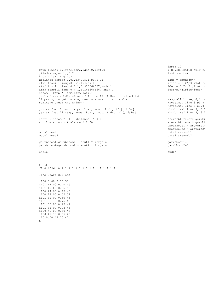```
kamp linseg 0,irise,iamp,idec,0,ioff,0
;kindex expon 1,p3,7
kndx = kamp * qindxkbalance expseg 0.01,p3*0.5,1,p3,0.01
afm1 foscili iamp,0.5,1,1,kndx,1
afm2 foscili iamp,0.7,1,0.916666667,kndx,1 
afm3 foscili iamp,0.4,1,1.1666666667,kndx,1 
aboom = \text{kamp} \star (\text{afml} + \text{afm2} + \text{afm3});;;kmod are subdivisions of 1 into 12 (1 Hertz divided into 
12 parts, to get unison, one tone over unison and a 
semitone under the unison) 
;;; ar foscil xamp, kcps, kcar, kmod, kndx, ifn[, iphs]
;;; ar foscili xamp, kcps, kcar, kmod, kndx, ifn[, iphs]
aout1 = aboom * (1 - kbalance) * 0.08
aout2 = aboom * kbalance * 0.08outs1 aout1
outs2 aout2
garvbboom1=garvbboom1 + aout1 * irvgain
garvbboom2=garvbboom2 + aout2 * irvgain
endin
------------------------------------------
t0 60
f1 0 4096 10 1 1 1 1 1 1 1 1 1 1 1 1 1 1 1 1 
;ins Start Dur amp
i100 0.00 0.35 53
i101 12.00 0.40 45
i101 19.00 0.35 52
i100 24.00 0.45 48
i100 28.00 0.55 52
i101 31.00 0.60 43
i101 33.70 0.75 42
i101 36.00 0.95 41
i101 38.00 0.75 43
i100 40.00 0.60 43
i100 41.70 0.55 40
```
i10 0.00 49.00 40

e

instr 10 ;;REVERBERATOR only fo instruments)

 $iamp = ampdb(p4)$ irise =  $0.2$ \*p3 ;%of to idec =  $0.7 \times p3$  ;% of to ioff=p3-(irise+idec)

kamphall linseg 0, iris krvbtime1 line 3,p3,8 krvbtime2 line 3,p3,8 ;krvbtime1 line 3,p3,5 ; krvbtime2 line 3, p3,

areverb1 reverb garvbb areverb2 reverb garvbl  $aboomsout1 = areverb1$  $aboomsout2 = areverb2$ outs1 areverb1 outs2 areverb2

garvbboom1=0 garvbboom2=0

endin